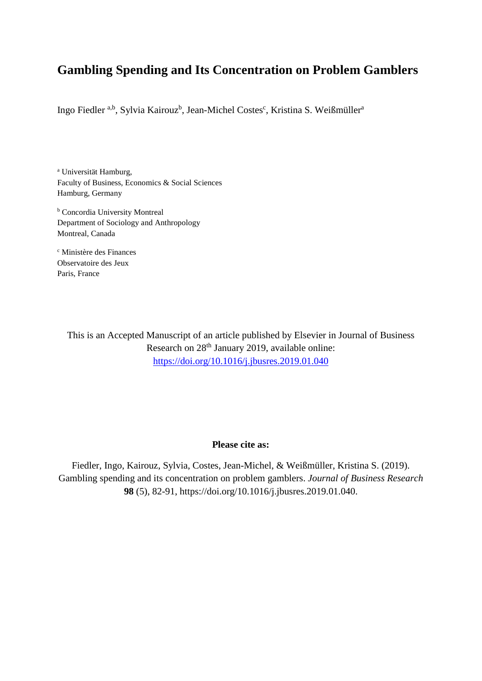# **Gambling Spending and Its Concentration on Problem Gamblers**

Ingo Fiedler <sup>a,b</sup>, Sylvia Kairouz<sup>b</sup>, Jean-Michel Costes<sup>c</sup>, Kristina S. Weißmüller<sup>a</sup>

<sup>a</sup> Universität Hamburg, Faculty of Business, Economics & Social Sciences Hamburg, Germany

<sup>b</sup> Concordia University Montreal Department of Sociology and Anthropology Montreal, Canada

<sup>c</sup> Ministère des Finances Observatoire des Jeux Paris, France

> This is an Accepted Manuscript of an article published by Elsevier in Journal of Business Research on 28<sup>th</sup> January 2019, available online: <https://doi.org/10.1016/j.jbusres.2019.01.040>

#### **Please cite as:**

Fiedler, Ingo, Kairouz, Sylvia, Costes, Jean-Michel, & Weißmüller, Kristina S. (2019). Gambling spending and its concentration on problem gamblers. *Journal of Business Research* **98** (5), 82-91, [https://doi.org/10.1016/j.jbusres.2019.01.040.](https://doi.org/10.1016/j.jbusres.2019.01.040)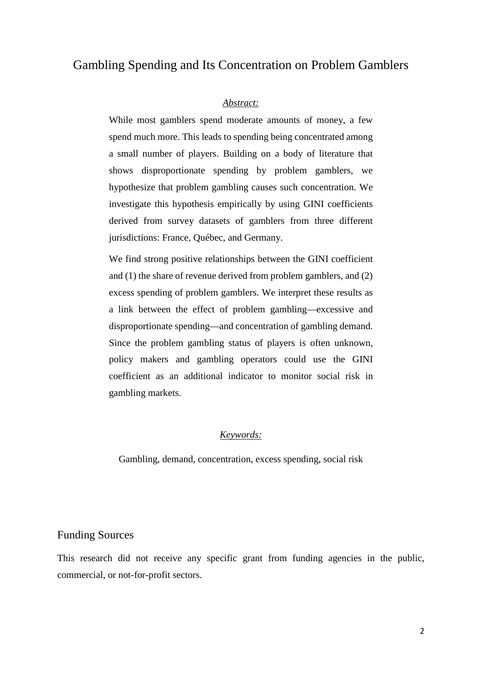## Gambling Spending and Its Concentration on Problem Gamblers

#### *Abstract:*

While most gamblers spend moderate amounts of money, a few spend much more. This leads to spending being concentrated among a small number of players. Building on a body of literature that shows disproportionate spending by problem gamblers, we hypothesize that problem gambling causes such concentration. We investigate this hypothesis empirically by using GINI coefficients derived from survey datasets of gamblers from three different jurisdictions: France, Québec, and Germany.

We find strong positive relationships between the GINI coefficient and (1) the share of revenue derived from problem gamblers, and (2) excess spending of problem gamblers. We interpret these results as a link between the effect of problem gambling—excessive and disproportionate spending—and concentration of gambling demand. Since the problem gambling status of players is often unknown, policy makers and gambling operators could use the GINI coefficient as an additional indicator to monitor social risk in gambling markets.

#### *Keywords:*

Gambling, demand, concentration, excess spending, social risk

#### Funding Sources

This research did not receive any specific grant from funding agencies in the public, commercial, or not-for-profit sectors.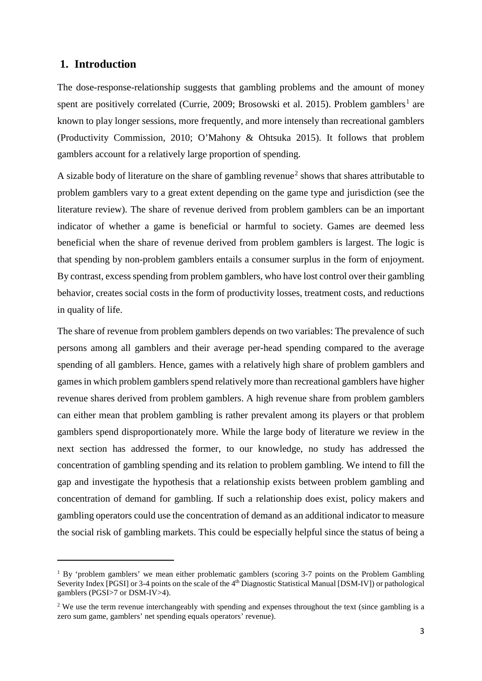## **1. Introduction**

l

The dose-response-relationship suggests that gambling problems and the amount of money spent are positively correlated (Currie, 2009; Brosowski et al. 20[1](#page-2-0)5). Problem gamblers<sup>1</sup> are known to play longer sessions, more frequently, and more intensely than recreational gamblers (Productivity Commission, 2010; O'Mahony & Ohtsuka 2015). It follows that problem gamblers account for a relatively large proportion of spending.

A sizable body of literature on the share of gambling revenue<sup>[2](#page-2-1)</sup> shows that shares attributable to problem gamblers vary to a great extent depending on the game type and jurisdiction (see the literature review). The share of revenue derived from problem gamblers can be an important indicator of whether a game is beneficial or harmful to society. Games are deemed less beneficial when the share of revenue derived from problem gamblers is largest. The logic is that spending by non-problem gamblers entails a consumer surplus in the form of enjoyment. By contrast, excess spending from problem gamblers, who have lost control over their gambling behavior, creates social costs in the form of productivity losses, treatment costs, and reductions in quality of life.

The share of revenue from problem gamblers depends on two variables: The prevalence of such persons among all gamblers and their average per-head spending compared to the average spending of all gamblers. Hence, games with a relatively high share of problem gamblers and games in which problem gamblers spend relatively more than recreational gamblers have higher revenue shares derived from problem gamblers. A high revenue share from problem gamblers can either mean that problem gambling is rather prevalent among its players or that problem gamblers spend disproportionately more. While the large body of literature we review in the next section has addressed the former, to our knowledge, no study has addressed the concentration of gambling spending and its relation to problem gambling. We intend to fill the gap and investigate the hypothesis that a relationship exists between problem gambling and concentration of demand for gambling. If such a relationship does exist, policy makers and gambling operators could use the concentration of demand as an additional indicator to measure the social risk of gambling markets. This could be especially helpful since the status of being a

<span id="page-2-0"></span><sup>&</sup>lt;sup>1</sup> By 'problem gamblers' we mean either problematic gamblers (scoring  $3-7$  points on the Problem Gambling Severity Index [PGSI] or 3-4 points on the scale of the 4<sup>th</sup> Diagnostic Statistical Manual [DSM-IV]) or pathological gamblers (PGSI>7 or DSM-IV>4).

<span id="page-2-1"></span><sup>&</sup>lt;sup>2</sup> We use the term revenue interchangeably with spending and expenses throughout the text (since gambling is a zero sum game, gamblers' net spending equals operators' revenue).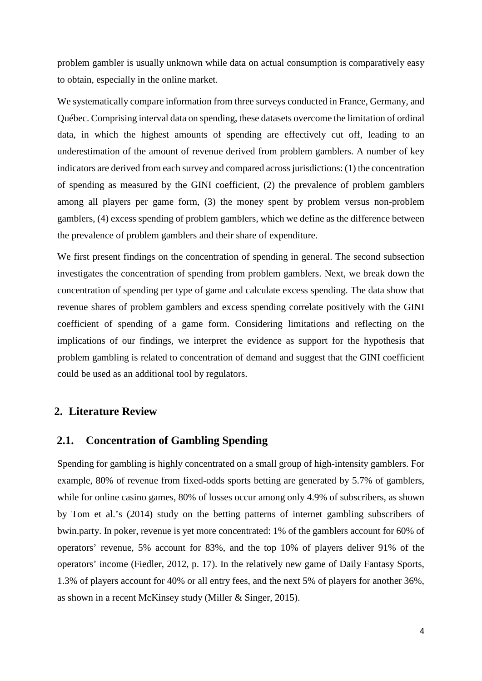problem gambler is usually unknown while data on actual consumption is comparatively easy to obtain, especially in the online market.

We systematically compare information from three surveys conducted in France, Germany, and Québec. Comprising interval data on spending, these datasets overcome the limitation of ordinal data, in which the highest amounts of spending are effectively cut off, leading to an underestimation of the amount of revenue derived from problem gamblers. A number of key indicators are derived from each survey and compared across jurisdictions: (1) the concentration of spending as measured by the GINI coefficient, (2) the prevalence of problem gamblers among all players per game form, (3) the money spent by problem versus non-problem gamblers, (4) excess spending of problem gamblers, which we define as the difference between the prevalence of problem gamblers and their share of expenditure.

We first present findings on the concentration of spending in general. The second subsection investigates the concentration of spending from problem gamblers. Next, we break down the concentration of spending per type of game and calculate excess spending. The data show that revenue shares of problem gamblers and excess spending correlate positively with the GINI coefficient of spending of a game form. Considering limitations and reflecting on the implications of our findings, we interpret the evidence as support for the hypothesis that problem gambling is related to concentration of demand and suggest that the GINI coefficient could be used as an additional tool by regulators.

## **2. Literature Review**

## **2.1. Concentration of Gambling Spending**

Spending for gambling is highly concentrated on a small group of high-intensity gamblers. For example, 80% of revenue from fixed-odds sports betting are generated by 5.7% of gamblers, while for online casino games, 80% of losses occur among only 4.9% of subscribers, as shown by Tom et al.'s (2014) study on the betting patterns of internet gambling subscribers of bwin.party. In poker, revenue is yet more concentrated: 1% of the gamblers account for 60% of operators' revenue, 5% account for 83%, and the top 10% of players deliver 91% of the operators' income (Fiedler, 2012, p. 17). In the relatively new game of Daily Fantasy Sports, 1.3% of players account for 40% or all entry fees, and the next 5% of players for another 36%, as shown in a recent McKinsey study (Miller & Singer, 2015).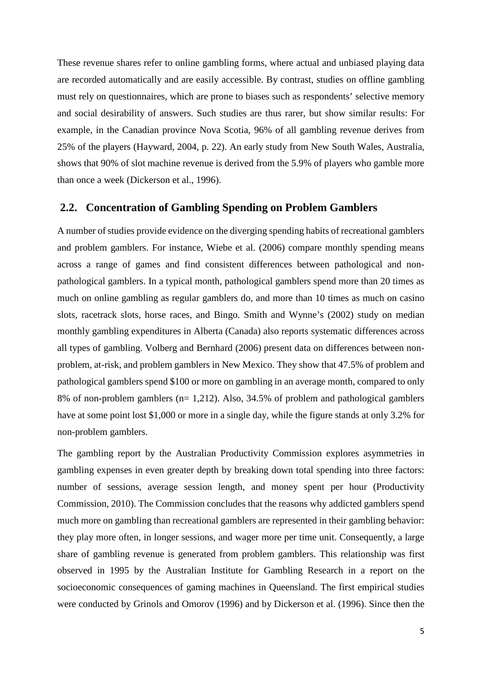These revenue shares refer to online gambling forms, where actual and unbiased playing data are recorded automatically and are easily accessible. By contrast, studies on offline gambling must rely on questionnaires, which are prone to biases such as respondents' selective memory and social desirability of answers. Such studies are thus rarer, but show similar results: For example, in the Canadian province Nova Scotia, 96% of all gambling revenue derives from 25% of the players (Hayward, 2004, p. 22). An early study from New South Wales, Australia, shows that 90% of slot machine revenue is derived from the 5.9% of players who gamble more than once a week (Dickerson et al., 1996).

## **2.2. Concentration of Gambling Spending on Problem Gamblers**

A number of studies provide evidence on the diverging spending habits of recreational gamblers and problem gamblers. For instance, Wiebe et al. (2006) compare monthly spending means across a range of games and find consistent differences between pathological and nonpathological gamblers. In a typical month, pathological gamblers spend more than 20 times as much on online gambling as regular gamblers do, and more than 10 times as much on casino slots, racetrack slots, horse races, and Bingo. Smith and Wynne's (2002) study on median monthly gambling expenditures in Alberta (Canada) also reports systematic differences across all types of gambling. Volberg and Bernhard (2006) present data on differences between nonproblem, at-risk, and problem gamblers in New Mexico. They show that 47.5% of problem and pathological gamblers spend \$100 or more on gambling in an average month, compared to only 8% of non-problem gamblers (n= 1,212). Also, 34.5% of problem and pathological gamblers have at some point lost \$1,000 or more in a single day, while the figure stands at only 3.2% for non-problem gamblers.

The gambling report by the Australian Productivity Commission explores asymmetries in gambling expenses in even greater depth by breaking down total spending into three factors: number of sessions, average session length, and money spent per hour (Productivity Commission, 2010). The Commission concludes that the reasons why addicted gamblers spend much more on gambling than recreational gamblers are represented in their gambling behavior: they play more often, in longer sessions, and wager more per time unit. Consequently, a large share of gambling revenue is generated from problem gamblers. This relationship was first observed in 1995 by the Australian Institute for Gambling Research in a report on the socioeconomic consequences of gaming machines in Queensland. The first empirical studies were conducted by Grinols and Omorov (1996) and by Dickerson et al. (1996). Since then the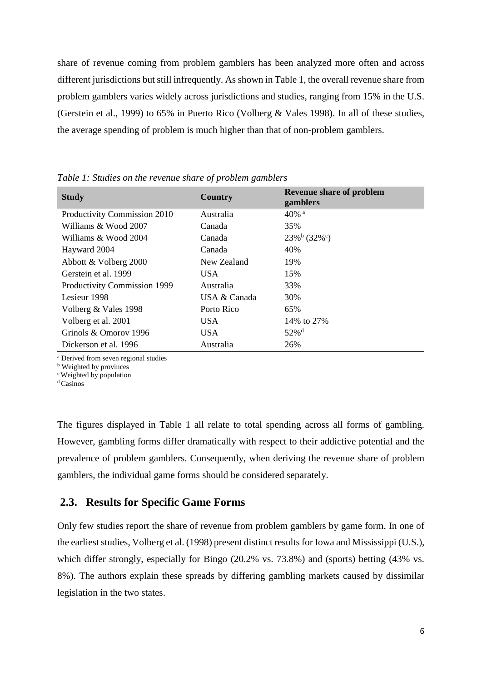share of revenue coming from problem gamblers has been analyzed more often and across different jurisdictions but still infrequently. As shown in Table 1, the overall revenue share from problem gamblers varies widely across jurisdictions and studies, ranging from 15% in the U.S. (Gerstein et al., 1999) to 65% in Puerto Rico (Volberg & Vales 1998). In all of these studies, the average spending of problem is much higher than that of non-problem gamblers.

| <b>Study</b>                 | Country      | <b>Revenue share of problem</b><br>gamblers |
|------------------------------|--------------|---------------------------------------------|
| Productivity Commission 2010 | Australia    | $40\%$ <sup>a</sup>                         |
| Williams & Wood 2007         | Canada       | 35%                                         |
| Williams & Wood 2004         | Canada       | $23\%$ <sup>b</sup> (32% <sup>c</sup> )     |
| Hayward 2004                 | Canada       | 40%                                         |
| Abbott & Volberg 2000        | New Zealand  | 19%                                         |
| Gerstein et al. 1999         | USA.         | 15%                                         |
| Productivity Commission 1999 | Australia    | 33%                                         |
| Lesieur 1998                 | USA & Canada | 30%                                         |
| Volberg & Vales 1998         | Porto Rico   | 65%                                         |
| Volberg et al. 2001          | USA.         | 14\% to 27\%                                |
| Grinols & Omorov 1996        | USA.         | $52\%$ <sup>d</sup>                         |
| Dickerson et al. 1996        | Australia    | 26%                                         |

*Table 1: Studies on the revenue share of problem gamblers*

<sup>a</sup> Derived from seven regional studies

**b** Weighted by provinces

c Weighted by population

d Casinos

The figures displayed in Table 1 all relate to total spending across all forms of gambling. However, gambling forms differ dramatically with respect to their addictive potential and the prevalence of problem gamblers. Consequently, when deriving the revenue share of problem gamblers, the individual game forms should be considered separately.

## **2.3. Results for Specific Game Forms**

Only few studies report the share of revenue from problem gamblers by game form. In one of the earliest studies, Volberg et al. (1998) present distinct results for Iowa and Mississippi (U.S.), which differ strongly, especially for Bingo (20.2% vs. 73.8%) and (sports) betting (43% vs. 8%). The authors explain these spreads by differing gambling markets caused by dissimilar legislation in the two states.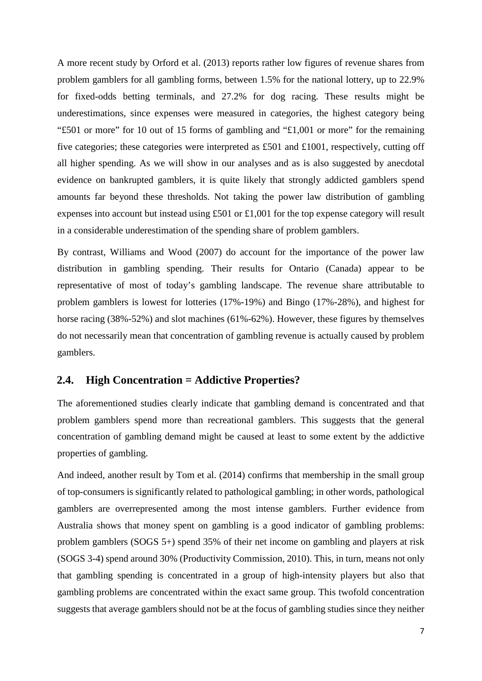A more recent study by Orford et al. (2013) reports rather low figures of revenue shares from problem gamblers for all gambling forms, between 1.5% for the national lottery, up to 22.9% for fixed-odds betting terminals, and 27.2% for dog racing. These results might be underestimations, since expenses were measured in categories, the highest category being "£501 or more" for 10 out of 15 forms of gambling and "£1,001 or more" for the remaining five categories; these categories were interpreted as £501 and £1001, respectively, cutting off all higher spending. As we will show in our analyses and as is also suggested by anecdotal evidence on bankrupted gamblers, it is quite likely that strongly addicted gamblers spend amounts far beyond these thresholds. Not taking the power law distribution of gambling expenses into account but instead using £501 or £1,001 for the top expense category will result in a considerable underestimation of the spending share of problem gamblers.

By contrast, Williams and Wood (2007) do account for the importance of the power law distribution in gambling spending. Their results for Ontario (Canada) appear to be representative of most of today's gambling landscape. The revenue share attributable to problem gamblers is lowest for lotteries (17%-19%) and Bingo (17%-28%), and highest for horse racing (38%-52%) and slot machines (61%-62%). However, these figures by themselves do not necessarily mean that concentration of gambling revenue is actually caused by problem gamblers.

## **2.4. High Concentration = Addictive Properties?**

The aforementioned studies clearly indicate that gambling demand is concentrated and that problem gamblers spend more than recreational gamblers. This suggests that the general concentration of gambling demand might be caused at least to some extent by the addictive properties of gambling.

And indeed, another result by Tom et al. (2014) confirms that membership in the small group of top-consumers is significantly related to pathological gambling; in other words, pathological gamblers are overrepresented among the most intense gamblers. Further evidence from Australia shows that money spent on gambling is a good indicator of gambling problems: problem gamblers (SOGS 5+) spend 35% of their net income on gambling and players at risk (SOGS 3-4) spend around 30% (Productivity Commission, 2010). This, in turn, means not only that gambling spending is concentrated in a group of high-intensity players but also that gambling problems are concentrated within the exact same group. This twofold concentration suggests that average gamblers should not be at the focus of gambling studies since they neither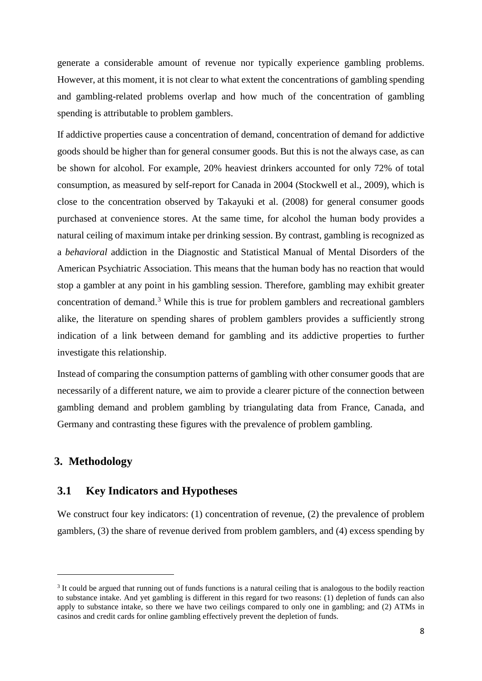generate a considerable amount of revenue nor typically experience gambling problems. However, at this moment, it is not clear to what extent the concentrations of gambling spending and gambling-related problems overlap and how much of the concentration of gambling spending is attributable to problem gamblers.

If addictive properties cause a concentration of demand, concentration of demand for addictive goods should be higher than for general consumer goods. But this is not the always case, as can be shown for alcohol. For example, 20% heaviest drinkers accounted for only 72% of total consumption, as measured by self-report for Canada in 2004 (Stockwell et al., 2009), which is close to the concentration observed by Takayuki et al. (2008) for general consumer goods purchased at convenience stores. At the same time, for alcohol the human body provides a natural ceiling of maximum intake per drinking session. By contrast, gambling is recognized as a *behavioral* addiction in the Diagnostic and Statistical Manual of Mental Disorders of the American Psychiatric Association. This means that the human body has no reaction that would stop a gambler at any point in his gambling session. Therefore, gambling may exhibit greater concentration of demand.[3](#page-7-0) While this is true for problem gamblers and recreational gamblers alike, the literature on spending shares of problem gamblers provides a sufficiently strong indication of a link between demand for gambling and its addictive properties to further investigate this relationship.

Instead of comparing the consumption patterns of gambling with other consumer goods that are necessarily of a different nature, we aim to provide a clearer picture of the connection between gambling demand and problem gambling by triangulating data from France, Canada, and Germany and contrasting these figures with the prevalence of problem gambling.

## **3. Methodology**

l

### **3.1 Key Indicators and Hypotheses**

We construct four key indicators: (1) concentration of revenue, (2) the prevalence of problem gamblers, (3) the share of revenue derived from problem gamblers, and (4) excess spending by

<span id="page-7-0"></span><sup>&</sup>lt;sup>3</sup> It could be argued that running out of funds functions is a natural ceiling that is analogous to the bodily reaction to substance intake. And yet gambling is different in this regard for two reasons: (1) depletion of funds can also apply to substance intake, so there we have two ceilings compared to only one in gambling; and (2) ATMs in casinos and credit cards for online gambling effectively prevent the depletion of funds.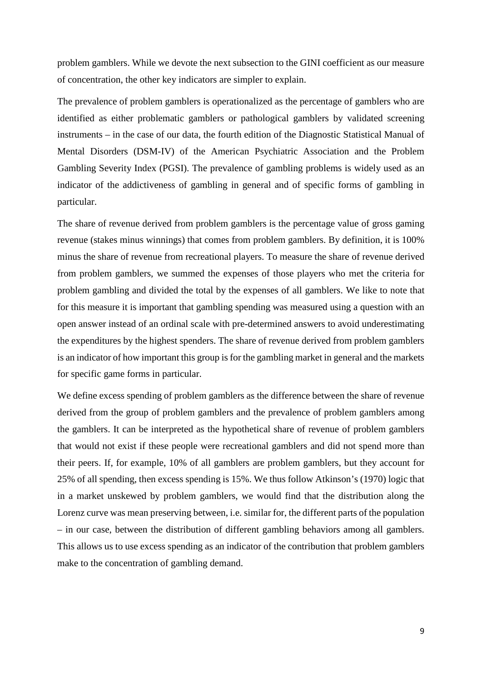problem gamblers. While we devote the next subsection to the GINI coefficient as our measure of concentration, the other key indicators are simpler to explain.

The prevalence of problem gamblers is operationalized as the percentage of gamblers who are identified as either problematic gamblers or pathological gamblers by validated screening instruments – in the case of our data, the fourth edition of the Diagnostic Statistical Manual of Mental Disorders (DSM-IV) of the American Psychiatric Association and the Problem Gambling Severity Index (PGSI). The prevalence of gambling problems is widely used as an indicator of the addictiveness of gambling in general and of specific forms of gambling in particular.

The share of revenue derived from problem gamblers is the percentage value of gross gaming revenue (stakes minus winnings) that comes from problem gamblers. By definition, it is 100% minus the share of revenue from recreational players. To measure the share of revenue derived from problem gamblers, we summed the expenses of those players who met the criteria for problem gambling and divided the total by the expenses of all gamblers. We like to note that for this measure it is important that gambling spending was measured using a question with an open answer instead of an ordinal scale with pre-determined answers to avoid underestimating the expenditures by the highest spenders. The share of revenue derived from problem gamblers is an indicator of how important this group is for the gambling market in general and the markets for specific game forms in particular.

We define excess spending of problem gamblers as the difference between the share of revenue derived from the group of problem gamblers and the prevalence of problem gamblers among the gamblers. It can be interpreted as the hypothetical share of revenue of problem gamblers that would not exist if these people were recreational gamblers and did not spend more than their peers. If, for example, 10% of all gamblers are problem gamblers, but they account for 25% of all spending, then excess spending is 15%. We thus follow Atkinson's (1970) logic that in a market unskewed by problem gamblers, we would find that the distribution along the Lorenz curve was mean preserving between, i.e. similar for, the different parts of the population – in our case, between the distribution of different gambling behaviors among all gamblers. This allows us to use excess spending as an indicator of the contribution that problem gamblers make to the concentration of gambling demand.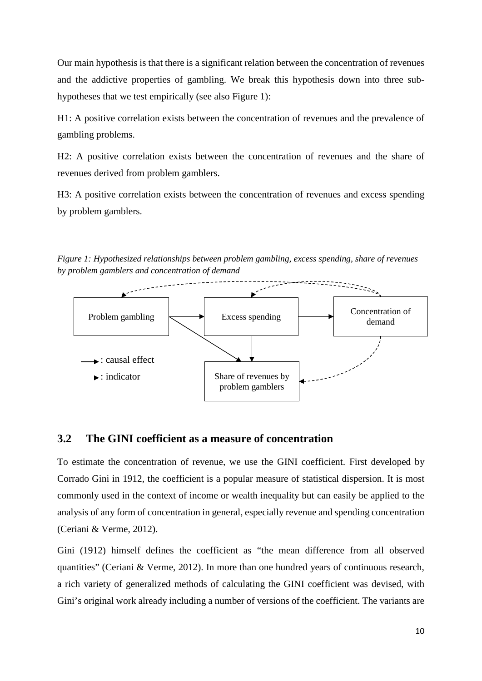Our main hypothesis is that there is a significant relation between the concentration of revenues and the addictive properties of gambling. We break this hypothesis down into three subhypotheses that we test empirically (see also Figure 1):

H1: A positive correlation exists between the concentration of revenues and the prevalence of gambling problems.

H2: A positive correlation exists between the concentration of revenues and the share of revenues derived from problem gamblers.

H3: A positive correlation exists between the concentration of revenues and excess spending by problem gamblers.

*Figure 1: Hypothesized relationships between problem gambling, excess spending, share of revenues by problem gamblers and concentration of demand*



#### **3.2 The GINI coefficient as a measure of concentration**

To estimate the concentration of revenue, we use the GINI coefficient. First developed by Corrado Gini in 1912, the coefficient is a popular measure of statistical dispersion. It is most commonly used in the context of income or wealth inequality but can easily be applied to the analysis of any form of concentration in general, especially revenue and spending concentration (Ceriani & Verme, 2012).

Gini (1912) himself defines the coefficient as "the mean difference from all observed quantities" (Ceriani & Verme, 2012). In more than one hundred years of continuous research, a rich variety of generalized methods of calculating the GINI coefficient was devised, with Gini's original work already including a number of versions of the coefficient. The variants are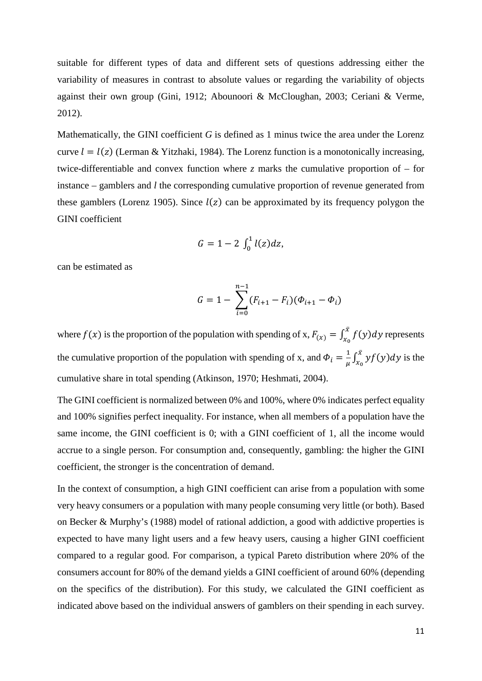suitable for different types of data and different sets of questions addressing either the variability of measures in contrast to absolute values or regarding the variability of objects against their own group (Gini, 1912; Abounoori & McCloughan, 2003; Ceriani & Verme, 2012).

Mathematically, the GINI coefficient *G* is defined as 1 minus twice the area under the Lorenz curve  $l = l(z)$  (Lerman & Yitzhaki, 1984). The Lorenz function is a monotonically increasing, twice-differentiable and convex function where *z* marks the cumulative proportion of – for instance – gamblers and *l* the corresponding cumulative proportion of revenue generated from these gamblers (Lorenz 1905). Since  $l(z)$  can be approximated by its frequency polygon the GINI coefficient

$$
G=1-2\,\int_0^1l(z)dz,
$$

can be estimated as

$$
G = 1 - \sum_{i=0}^{n-1} (F_{i+1} - F_i)(\Phi_{i+1} - \Phi_i)
$$

where  $f(x)$  is the proportion of the population with spending of x,  $F_{(x)} = \int_{x_0}^{x} f(y) dy$  represents the cumulative proportion of the population with spending of x, and  $\Phi_i = \frac{1}{\mu} \int_{x_0}^{x} y f(y) dy$  is the cumulative share in total spending (Atkinson, 1970; Heshmati, 2004).

The GINI coefficient is normalized between 0% and 100%, where 0% indicates perfect equality and 100% signifies perfect inequality. For instance, when all members of a population have the same income, the GINI coefficient is 0; with a GINI coefficient of 1, all the income would accrue to a single person. For consumption and, consequently, gambling: the higher the GINI coefficient, the stronger is the concentration of demand.

In the context of consumption, a high GINI coefficient can arise from a population with some very heavy consumers or a population with many people consuming very little (or both). Based on Becker & Murphy's (1988) model of rational addiction, a good with addictive properties is expected to have many light users and a few heavy users, causing a higher GINI coefficient compared to a regular good. For comparison, a typical Pareto distribution where 20% of the consumers account for 80% of the demand yields a GINI coefficient of around 60% (depending on the specifics of the distribution). For this study, we calculated the GINI coefficient as indicated above based on the individual answers of gamblers on their spending in each survey.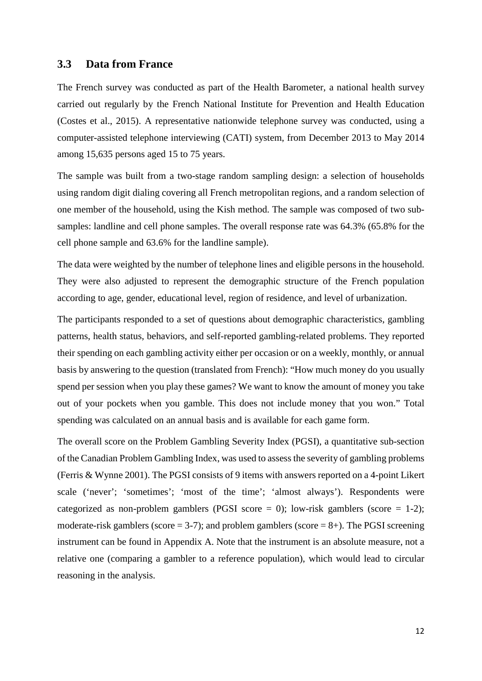### **3.3 Data from France**

The French survey was conducted as part of the Health Barometer, a national health survey carried out regularly by the French National Institute for Prevention and Health Education (Costes et al., 2015). A representative nationwide telephone survey was conducted, using a computer-assisted telephone interviewing (CATI) system, from December 2013 to May 2014 among 15,635 persons aged 15 to 75 years.

The sample was built from a two-stage random sampling design: a selection of households using random digit dialing covering all French metropolitan regions, and a random selection of one member of the household, using the Kish method. The sample was composed of two subsamples: landline and cell phone samples. The overall response rate was 64.3% (65.8% for the cell phone sample and 63.6% for the landline sample).

The data were weighted by the number of telephone lines and eligible persons in the household. They were also adjusted to represent the demographic structure of the French population according to age, gender, educational level, region of residence, and level of urbanization.

The participants responded to a set of questions about demographic characteristics, gambling patterns, health status, behaviors, and self-reported gambling-related problems. They reported their spending on each gambling activity either per occasion or on a weekly, monthly, or annual basis by answering to the question (translated from French): "How much money do you usually spend per session when you play these games? We want to know the amount of money you take out of your pockets when you gamble. This does not include money that you won." Total spending was calculated on an annual basis and is available for each game form.

The overall score on the Problem Gambling Severity Index (PGSI), a quantitative sub-section of the Canadian Problem Gambling Index, was used to assess the severity of gambling problems (Ferris & Wynne 2001). The PGSI consists of 9 items with answers reported on a 4-point Likert scale ('never'; 'sometimes'; 'most of the time'; 'almost always'). Respondents were categorized as non-problem gamblers (PGSI score  $= 0$ ); low-risk gamblers (score  $= 1-2$ ); moderate-risk gamblers (score  $= 3-7$ ); and problem gamblers (score  $= 8+$ ). The PGSI screening instrument can be found in Appendix A. Note that the instrument is an absolute measure, not a relative one (comparing a gambler to a reference population), which would lead to circular reasoning in the analysis.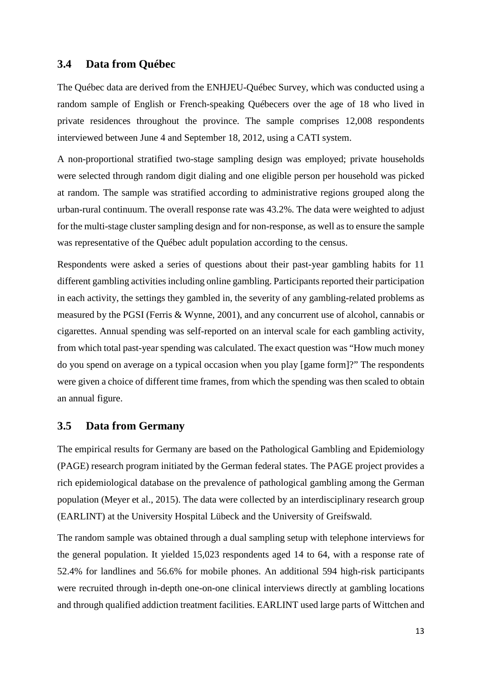## **3.4 Data from Québec**

The Québec data are derived from the ENHJEU-Québec Survey, which was conducted using a random sample of English or French-speaking Québecers over the age of 18 who lived in private residences throughout the province. The sample comprises 12,008 respondents interviewed between June 4 and September 18, 2012, using a CATI system.

A non-proportional stratified two-stage sampling design was employed; private households were selected through random digit dialing and one eligible person per household was picked at random. The sample was stratified according to administrative regions grouped along the urban-rural continuum. The overall response rate was 43.2%. The data were weighted to adjust for the multi-stage cluster sampling design and for non-response, as well as to ensure the sample was representative of the Québec adult population according to the census.

Respondents were asked a series of questions about their past-year gambling habits for 11 different gambling activities including online gambling. Participants reported their participation in each activity, the settings they gambled in, the severity of any gambling-related problems as measured by the PGSI (Ferris & Wynne, 2001), and any concurrent use of alcohol, cannabis or cigarettes. Annual spending was self-reported on an interval scale for each gambling activity, from which total past-year spending was calculated. The exact question was "How much money do you spend on average on a typical occasion when you play [game form]?" The respondents were given a choice of different time frames, from which the spending was then scaled to obtain an annual figure.

## **3.5 Data from Germany**

The empirical results for Germany are based on the Pathological Gambling and Epidemiology (PAGE) research program initiated by the German federal states. The PAGE project provides a rich epidemiological database on the prevalence of pathological gambling among the German population (Meyer et al., 2015). The data were collected by an interdisciplinary research group (EARLINT) at the University Hospital Lübeck and the University of Greifswald.

The random sample was obtained through a dual sampling setup with telephone interviews for the general population. It yielded 15,023 respondents aged 14 to 64, with a response rate of 52.4% for landlines and 56.6% for mobile phones. An additional 594 high-risk participants were recruited through in-depth one-on-one clinical interviews directly at gambling locations and through qualified addiction treatment facilities. EARLINT used large parts of Wittchen and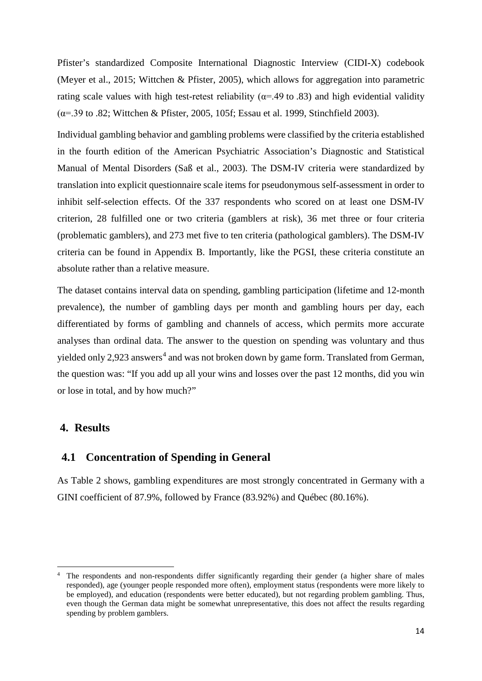Pfister's standardized Composite International Diagnostic Interview (CIDI-X) codebook (Meyer et al., 2015; Wittchen & Pfister, 2005), which allows for aggregation into parametric rating scale values with high test-retest reliability ( $\alpha$ =.49 to .83) and high evidential validity (α=.39 to .82; Wittchen & Pfister, 2005, 105f; Essau et al. 1999, Stinchfield 2003).

Individual gambling behavior and gambling problems were classified by the criteria established in the fourth edition of the American Psychiatric Association's Diagnostic and Statistical Manual of Mental Disorders (Saß et al., 2003). The DSM-IV criteria were standardized by translation into explicit questionnaire scale items for pseudonymous self-assessment in order to inhibit self-selection effects. Of the 337 respondents who scored on at least one DSM-IV criterion, 28 fulfilled one or two criteria (gamblers at risk), 36 met three or four criteria (problematic gamblers), and 273 met five to ten criteria (pathological gamblers). The DSM-IV criteria can be found in Appendix B. Importantly, like the PGSI, these criteria constitute an absolute rather than a relative measure.

The dataset contains interval data on spending, gambling participation (lifetime and 12-month prevalence), the number of gambling days per month and gambling hours per day, each differentiated by forms of gambling and channels of access, which permits more accurate analyses than ordinal data. The answer to the question on spending was voluntary and thus yielded only 2,923 answers<sup>[4](#page-13-0)</sup> and was not broken down by game form. Translated from German, the question was: "If you add up all your wins and losses over the past 12 months, did you win or lose in total, and by how much?"

#### **4. Results**

 $\overline{a}$ 

## **4.1 Concentration of Spending in General**

As Table 2 shows, gambling expenditures are most strongly concentrated in Germany with a GINI coefficient of 87.9%, followed by France (83.92%) and Québec (80.16%).

<span id="page-13-0"></span>The respondents and non-respondents differ significantly regarding their gender (a higher share of males responded), age (younger people responded more often), employment status (respondents were more likely to be employed), and education (respondents were better educated), but not regarding problem gambling. Thus, even though the German data might be somewhat unrepresentative, this does not affect the results regarding spending by problem gamblers.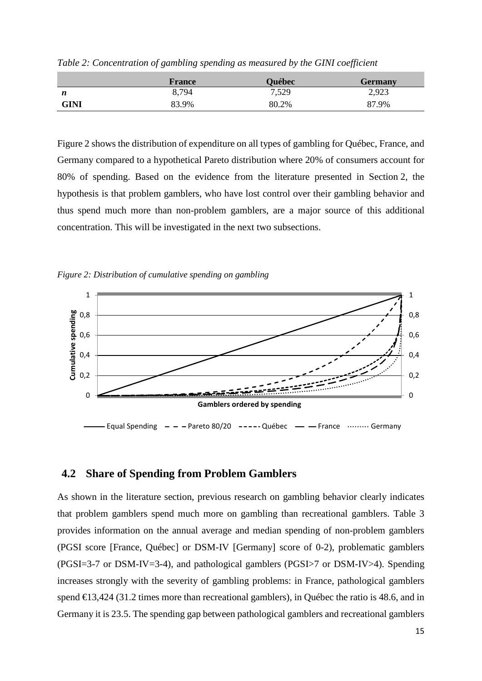|      | <b>France</b> | Québec | Germany |
|------|---------------|--------|---------|
| n    | 8,794         | 7,529  | 2,923   |
| GINI | 83.9%         | 80.2%  | 87.9%   |

*Table 2: Concentration of gambling spending as measured by the GINI coefficient*

Figure 2 shows the distribution of expenditure on all types of gambling for Québec, France, and Germany compared to a hypothetical Pareto distribution where 20% of consumers account for 80% of spending. Based on the evidence from the literature presented in Section 2, the hypothesis is that problem gamblers, who have lost control over their gambling behavior and thus spend much more than non-problem gamblers, are a major source of this additional concentration. This will be investigated in the next two subsections.





## **4.2 Share of Spending from Problem Gamblers**

As shown in the literature section, previous research on gambling behavior clearly indicates that problem gamblers spend much more on gambling than recreational gamblers. Table 3 provides information on the annual average and median spending of non-problem gamblers (PGSI score [France, Québec] or DSM-IV [Germany] score of 0-2), problematic gamblers (PGSI=3-7 or DSM-IV=3-4), and pathological gamblers (PGSI>7 or DSM-IV>4). Spending increases strongly with the severity of gambling problems: in France, pathological gamblers spend €13,424 (31.2 times more than recreational gamblers), in Québec the ratio is 48.6, and in Germany it is 23.5. The spending gap between pathological gamblers and recreational gamblers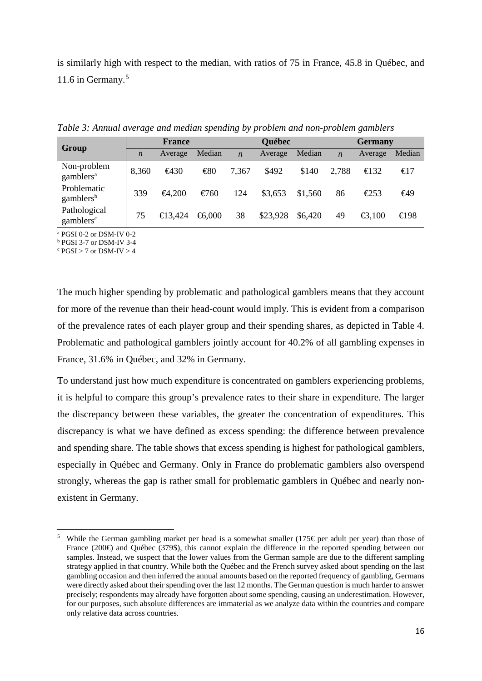is similarly high with respect to the median, with ratios of 75 in France, 45.8 in Québec, and 11.6 in Germany.<sup>[5](#page-15-0)</sup>

| Group                                 | <b>France</b>    |                |                | <b>Québec</b>    |          |         | <b>Germany</b>   |                    |               |
|---------------------------------------|------------------|----------------|----------------|------------------|----------|---------|------------------|--------------------|---------------|
|                                       | $\boldsymbol{n}$ | Average        | Median         | $\boldsymbol{n}$ | Average  | Median  | $\boldsymbol{n}$ | Average            | Median        |
| Non-problem<br>gamblers <sup>a</sup>  | 8,360            | $\bigoplus$ 30 | $\bigoplus$    | 7,367            | \$492    | \$140   | 2,788            | $\triangleleft$ 32 | $\bigoplus$ 7 |
| Problematic<br>gamblers <sup>b</sup>  | 339              | €4,200         | $\epsilon$ 760 | 124              | \$3,653  | \$1,560 | 86               | $\epsilon$ 253     | $\bigoplus$   |
| Pathological<br>gamblers <sup>c</sup> | 75               | €13,424        | $-6,000$       | 38               | \$23,928 | \$6,420 | 49               | $\bigoplus$ , 100  | €198          |

*Table 3: Annual average and median spending by problem and non-problem gamblers*

<sup>a</sup> PGSI 0-2 or DSM-IV 0-2

<sup>b</sup> PGSI 3-7 or DSM-IV 3-4

 $c$  PGSI > 7 or DSM-IV > 4

 $\overline{a}$ 

The much higher spending by problematic and pathological gamblers means that they account for more of the revenue than their head-count would imply. This is evident from a comparison of the prevalence rates of each player group and their spending shares, as depicted in Table 4. Problematic and pathological gamblers jointly account for 40.2% of all gambling expenses in France, 31.6% in Québec, and 32% in Germany.

To understand just how much expenditure is concentrated on gamblers experiencing problems, it is helpful to compare this group's prevalence rates to their share in expenditure. The larger the discrepancy between these variables, the greater the concentration of expenditures. This discrepancy is what we have defined as excess spending: the difference between prevalence and spending share. The table shows that excess spending is highest for pathological gamblers, especially in Québec and Germany. Only in France do problematic gamblers also overspend strongly, whereas the gap is rather small for problematic gamblers in Québec and nearly nonexistent in Germany.

<span id="page-15-0"></span><sup>5</sup> While the German gambling market per head is a somewhat smaller (175€ per adult per year) than those of France (200€) and Québec (379\$), this cannot explain the difference in the reported spending between our samples. Instead, we suspect that the lower values from the German sample are due to the different sampling strategy applied in that country. While both the Québec and the French survey asked about spending on the last gambling occasion and then inferred the annual amounts based on the reported frequency of gambling, Germans were directly asked about their spending over the last 12 months. The German question is much harder to answer precisely; respondents may already have forgotten about some spending, causing an underestimation. However, for our purposes, such absolute differences are immaterial as we analyze data within the countries and compare only relative data across countries.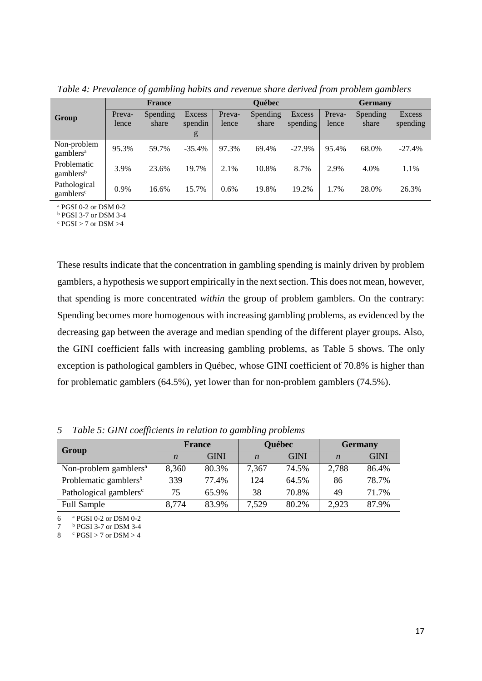|                                       |                 | <b>France</b>     |                               |                 | Québec            |                           | <b>Germany</b>  |                   |                    |
|---------------------------------------|-----------------|-------------------|-------------------------------|-----------------|-------------------|---------------------------|-----------------|-------------------|--------------------|
| Group                                 | Preva-<br>lence | Spending<br>share | <b>Excess</b><br>spendin<br>g | Preva-<br>lence | Spending<br>share | <b>Excess</b><br>spending | Preva-<br>lence | Spending<br>share | Excess<br>spending |
| Non-problem<br>gamblers <sup>a</sup>  | 95.3%           | 59.7%             | $-35.4%$                      | 97.3%           | 69.4%             | $-27.9%$                  | 95.4%           | 68.0%             | $-27.4%$           |
| Problematic<br>gamblers <sup>b</sup>  | 3.9%            | 23.6%             | 19.7%                         | 2.1%            | 10.8%             | 8.7%                      | 2.9%            | 4.0%              | 1.1%               |
| Pathological<br>gamblers <sup>c</sup> | 0.9%            | 16.6%             | 15.7%                         | 0.6%            | 19.8%             | 19.2%                     | 1.7%            | 28.0%             | 26.3%              |

*Table 4: Prevalence of gambling habits and revenue share derived from problem gamblers*

<sup>a</sup> PGSI 0-2 or DSM 0-2

<sup>b</sup> PGSI 3-7 or DSM 3-4

 $\text{c}$  PGSI > 7 or DSM >4

These results indicate that the concentration in gambling spending is mainly driven by problem gamblers, a hypothesis we support empirically in the next section. This does not mean, however, that spending is more concentrated *within* the group of problem gamblers. On the contrary: Spending becomes more homogenous with increasing gambling problems, as evidenced by the decreasing gap between the average and median spending of the different player groups. Also, the GINI coefficient falls with increasing gambling problems, as Table 5 shows. The only exception is pathological gamblers in Québec, whose GINI coefficient of 70.8% is higher than for problematic gamblers (64.5%), yet lower than for non-problem gamblers (74.5%).

## *5 Table 5: GINI coefficients in relation to gambling problems*

| Group                              |                  | <b>France</b> |                  | <b>Québec</b> | <b>Germany</b>   |       |
|------------------------------------|------------------|---------------|------------------|---------------|------------------|-------|
|                                    | $\boldsymbol{n}$ | <b>GINI</b>   | $\boldsymbol{n}$ | <b>GINI</b>   | $\boldsymbol{n}$ | GINI  |
| Non-problem gamblers <sup>a</sup>  | 8,360            | 80.3%         | 7,367            | 74.5%         | 2,788            | 86.4% |
| Problematic gamblers <sup>b</sup>  | 339              | 77.4%         | 124              | 64.5%         | 86               | 78.7% |
| Pathological gamblers <sup>c</sup> | 75               | 65.9%         | 38               | 70.8%         | 49               | 71.7% |
| <b>Full Sample</b>                 | 8,774            | 83.9%         | 7,529            | 80.2%         | 2,923            | 87.9% |

6 <sup>a</sup> PGSI 0-2 or DSM 0-2

7 <sup>b</sup> PGSI 3-7 or DSM 3-4

8 c PGSI > 7 or DSM > 4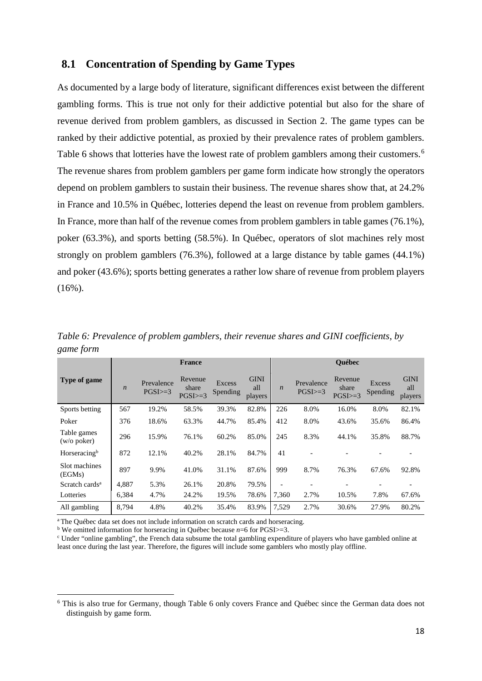#### **8.1 Concentration of Spending by Game Types**

As documented by a large body of literature, significant differences exist between the different gambling forms. This is true not only for their addictive potential but also for the share of revenue derived from problem gamblers, as discussed in Section 2. The game types can be ranked by their addictive potential, as proxied by their prevalence rates of problem gamblers. Table [6](#page-17-0) shows that lotteries have the lowest rate of problem gamblers among their customers.<sup>6</sup> The revenue shares from problem gamblers per game form indicate how strongly the operators depend on problem gamblers to sustain their business. The revenue shares show that, at 24.2% in France and 10.5% in Québec, lotteries depend the least on revenue from problem gamblers. In France, more than half of the revenue comes from problem gamblers in table games (76.1%), poker (63.3%), and sports betting (58.5%). In Québec, operators of slot machines rely most strongly on problem gamblers (76.3%), followed at a large distance by table games (44.1%) and poker (43.6%); sports betting generates a rather low share of revenue from problem players (16%).

|                               |                  |                             | <b>France</b>                     |                           |                               |                  |                             | <b>Ouébec</b>                     |                           |                               |
|-------------------------------|------------------|-----------------------------|-----------------------------------|---------------------------|-------------------------------|------------------|-----------------------------|-----------------------------------|---------------------------|-------------------------------|
| <b>Type of game</b>           | $\boldsymbol{n}$ | Prevalence<br>$PGSI \geq 3$ | Revenue<br>share<br>$PGSI \geq 3$ | <b>Excess</b><br>Spending | <b>GINI</b><br>all<br>players | $\boldsymbol{n}$ | Prevalence<br>$PGSI \geq 3$ | Revenue<br>share<br>$PGSI \geq 3$ | <b>Excess</b><br>Spending | <b>GINI</b><br>all<br>players |
| Sports betting                | 567              | 19.2%                       | 58.5%                             | 39.3%                     | 82.8%                         | 226              | 8.0%                        | 16.0%                             | 8.0%                      | 82.1%                         |
| Poker                         | 376              | 18.6%                       | 63.3%                             | 44.7%                     | 85.4%                         | 412              | 8.0%                        | 43.6%                             | 35.6%                     | 86.4%                         |
| Table games<br>$(w/o)$ poker) | 296              | 15.9%                       | 76.1%                             | 60.2%                     | 85.0%                         | 245              | 8.3%                        | 44.1%                             | 35.8%                     | 88.7%                         |
| Horseracing <sup>b</sup>      | 872              | 12.1%                       | 40.2%                             | 28.1%                     | 84.7%                         | 41               |                             |                                   |                           |                               |
| Slot machines<br>(EGMs)       | 897              | 9.9%                        | 41.0%                             | 31.1%                     | 87.6%                         | 999              | 8.7%                        | 76.3%                             | 67.6%                     | 92.8%                         |
| Scratch cards <sup>a</sup>    | 4,887            | 5.3%                        | 26.1%                             | 20.8%                     | 79.5%                         |                  | -                           |                                   |                           |                               |
| Lotteries                     | 6,384            | 4.7%                        | 24.2%                             | 19.5%                     | 78.6%                         | 7,360            | 2.7%                        | 10.5%                             | 7.8%                      | 67.6%                         |
| All gambling                  | 8,794            | 4.8%                        | 40.2%                             | 35.4%                     | 83.9%                         | 7,529            | 2.7%                        | 30.6%                             | 27.9%                     | 80.2%                         |

*Table 6: Prevalence of problem gamblers, their revenue shares and GINI coefficients, by game form*

<sup>a</sup> The Québec data set does not include information on scratch cards and horseracing.

 $b$  We omitted information for horseracing in Québec because  $n=6$  for PGSI $>=$ 3.

 $\overline{a}$ 

<sup>c</sup> Under "online gambling", the French data subsume the total gambling expenditure of players who have gambled online at least once during the last year. Therefore, the figures will include some gamblers who mostly play offline.

<span id="page-17-0"></span><sup>6</sup> This is also true for Germany, though Table 6 only covers France and Québec since the German data does not distinguish by game form.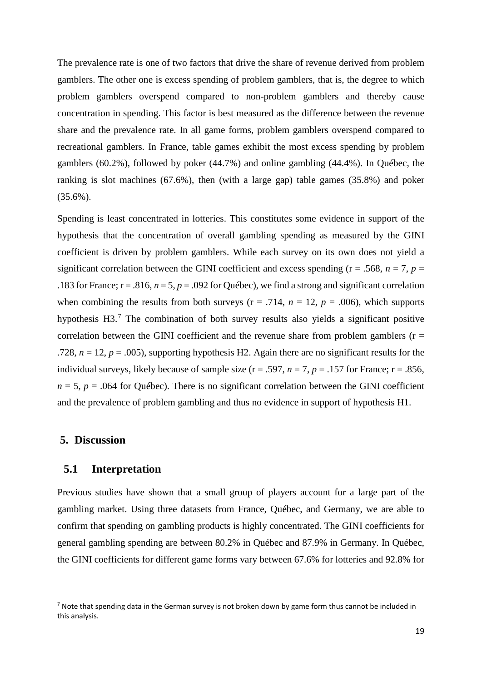The prevalence rate is one of two factors that drive the share of revenue derived from problem gamblers. The other one is excess spending of problem gamblers, that is, the degree to which problem gamblers overspend compared to non-problem gamblers and thereby cause concentration in spending. This factor is best measured as the difference between the revenue share and the prevalence rate. In all game forms, problem gamblers overspend compared to recreational gamblers. In France, table games exhibit the most excess spending by problem gamblers (60.2%), followed by poker (44.7%) and online gambling (44.4%). In Québec, the ranking is slot machines (67.6%), then (with a large gap) table games (35.8%) and poker  $(35.6\%)$ .

Spending is least concentrated in lotteries. This constitutes some evidence in support of the hypothesis that the concentration of overall gambling spending as measured by the GINI coefficient is driven by problem gamblers. While each survey on its own does not yield a significant correlation between the GINI coefficient and excess spending ( $r = .568$ ,  $n = 7$ ,  $p =$ .183 for France;  $r = .816$ ,  $n = 5$ ,  $p = .092$  for Québec), we find a strong and significant correlation when combining the results from both surveys ( $r = .714$ ,  $n = 12$ ,  $p = .006$ ), which supports hypothesis H3.<sup>[7](#page-18-0)</sup> The combination of both survey results also yields a significant positive correlation between the GINI coefficient and the revenue share from problem gamblers ( $r =$ .728,  $n = 12$ ,  $p = .005$ ), supporting hypothesis H2. Again there are no significant results for the individual surveys, likely because of sample size  $(r = .597, n = 7, p = .157$  for France;  $r = .856$ ,  $n = 5$ ,  $p = .064$  for Québec). There is no significant correlation between the GINI coefficient and the prevalence of problem gambling and thus no evidence in support of hypothesis H1.

## **5. Discussion**

l

#### **5.1 Interpretation**

Previous studies have shown that a small group of players account for a large part of the gambling market. Using three datasets from France, Québec, and Germany, we are able to confirm that spending on gambling products is highly concentrated. The GINI coefficients for general gambling spending are between 80.2% in Québec and 87.9% in Germany. In Québec, the GINI coefficients for different game forms vary between 67.6% for lotteries and 92.8% for

<span id="page-18-0"></span><sup>&</sup>lt;sup>7</sup> Note that spending data in the German survey is not broken down by game form thus cannot be included in this analysis.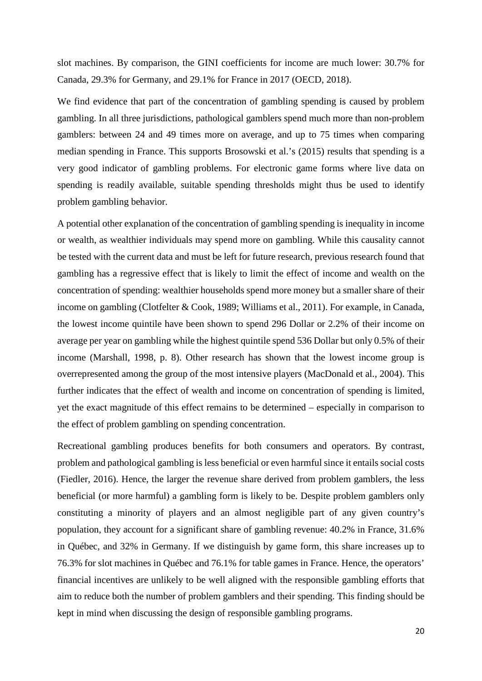slot machines. By comparison, the GINI coefficients for income are much lower: 30.7% for Canada, 29.3% for Germany, and 29.1% for France in 2017 (OECD, 2018).

We find evidence that part of the concentration of gambling spending is caused by problem gambling. In all three jurisdictions, pathological gamblers spend much more than non-problem gamblers: between 24 and 49 times more on average, and up to 75 times when comparing median spending in France. This supports Brosowski et al.'s (2015) results that spending is a very good indicator of gambling problems. For electronic game forms where live data on spending is readily available, suitable spending thresholds might thus be used to identify problem gambling behavior.

A potential other explanation of the concentration of gambling spending is inequality in income or wealth, as wealthier individuals may spend more on gambling. While this causality cannot be tested with the current data and must be left for future research, previous research found that gambling has a regressive effect that is likely to limit the effect of income and wealth on the concentration of spending: wealthier households spend more money but a smaller share of their income on gambling (Clotfelter & Cook, 1989; Williams et al., 2011). For example, in Canada, the lowest income quintile have been shown to spend 296 Dollar or 2.2% of their income on average per year on gambling while the highest quintile spend 536 Dollar but only 0.5% of their income (Marshall, 1998, p. 8). Other research has shown that the lowest income group is overrepresented among the group of the most intensive players (MacDonald et al., 2004). This further indicates that the effect of wealth and income on concentration of spending is limited, yet the exact magnitude of this effect remains to be determined – especially in comparison to the effect of problem gambling on spending concentration.

Recreational gambling produces benefits for both consumers and operators. By contrast, problem and pathological gambling is less beneficial or even harmful since it entails social costs (Fiedler, 2016). Hence, the larger the revenue share derived from problem gamblers, the less beneficial (or more harmful) a gambling form is likely to be. Despite problem gamblers only constituting a minority of players and an almost negligible part of any given country's population, they account for a significant share of gambling revenue: 40.2% in France, 31.6% in Québec, and 32% in Germany. If we distinguish by game form, this share increases up to 76.3% for slot machines in Québec and 76.1% for table games in France. Hence, the operators' financial incentives are unlikely to be well aligned with the responsible gambling efforts that aim to reduce both the number of problem gamblers and their spending. This finding should be kept in mind when discussing the design of responsible gambling programs.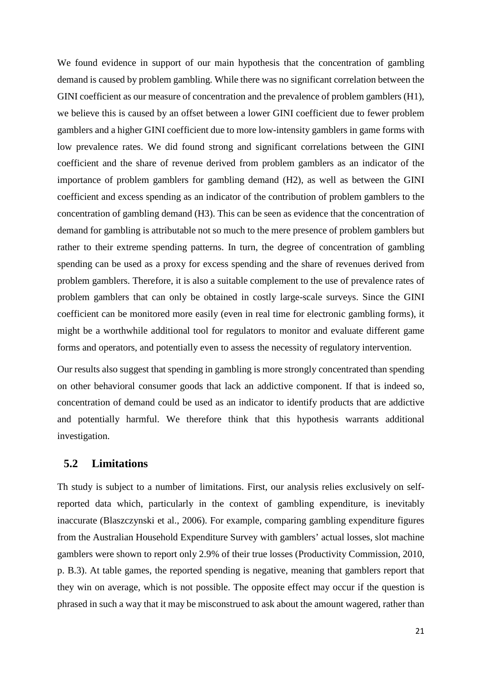We found evidence in support of our main hypothesis that the concentration of gambling demand is caused by problem gambling. While there was no significant correlation between the GINI coefficient as our measure of concentration and the prevalence of problem gamblers (H1), we believe this is caused by an offset between a lower GINI coefficient due to fewer problem gamblers and a higher GINI coefficient due to more low-intensity gamblers in game forms with low prevalence rates. We did found strong and significant correlations between the GINI coefficient and the share of revenue derived from problem gamblers as an indicator of the importance of problem gamblers for gambling demand (H2), as well as between the GINI coefficient and excess spending as an indicator of the contribution of problem gamblers to the concentration of gambling demand (H3). This can be seen as evidence that the concentration of demand for gambling is attributable not so much to the mere presence of problem gamblers but rather to their extreme spending patterns. In turn, the degree of concentration of gambling spending can be used as a proxy for excess spending and the share of revenues derived from problem gamblers. Therefore, it is also a suitable complement to the use of prevalence rates of problem gamblers that can only be obtained in costly large-scale surveys. Since the GINI coefficient can be monitored more easily (even in real time for electronic gambling forms), it might be a worthwhile additional tool for regulators to monitor and evaluate different game forms and operators, and potentially even to assess the necessity of regulatory intervention.

Our results also suggest that spending in gambling is more strongly concentrated than spending on other behavioral consumer goods that lack an addictive component. If that is indeed so, concentration of demand could be used as an indicator to identify products that are addictive and potentially harmful. We therefore think that this hypothesis warrants additional investigation.

#### **5.2 Limitations**

Th study is subject to a number of limitations. First, our analysis relies exclusively on selfreported data which, particularly in the context of gambling expenditure, is inevitably inaccurate (Blaszczynski et al., 2006). For example, comparing gambling expenditure figures from the Australian Household Expenditure Survey with gamblers' actual losses, slot machine gamblers were shown to report only 2.9% of their true losses (Productivity Commission, 2010, p. B.3). At table games, the reported spending is negative, meaning that gamblers report that they win on average, which is not possible. The opposite effect may occur if the question is phrased in such a way that it may be misconstrued to ask about the amount wagered, rather than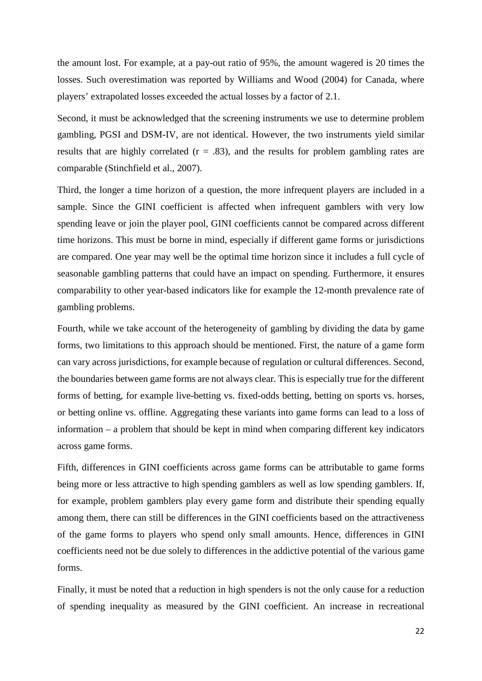the amount lost. For example, at a pay-out ratio of 95%, the amount wagered is 20 times the losses. Such overestimation was reported by Williams and Wood (2004) for Canada, where players' extrapolated losses exceeded the actual losses by a factor of 2.1.

Second, it must be acknowledged that the screening instruments we use to determine problem gambling, PGSI and DSM-IV, are not identical. However, the two instruments yield similar results that are highly correlated  $(r = .83)$ , and the results for problem gambling rates are comparable (Stinchfield et al., 2007).

Third, the longer a time horizon of a question, the more infrequent players are included in a sample. Since the GINI coefficient is affected when infrequent gamblers with very low spending leave or join the player pool, GINI coefficients cannot be compared across different time horizons. This must be borne in mind, especially if different game forms or jurisdictions are compared. One year may well be the optimal time horizon since it includes a full cycle of seasonable gambling patterns that could have an impact on spending. Furthermore, it ensures comparability to other year-based indicators like for example the 12-month prevalence rate of gambling problems.

Fourth, while we take account of the heterogeneity of gambling by dividing the data by game forms, two limitations to this approach should be mentioned. First, the nature of a game form can vary across jurisdictions, for example because of regulation or cultural differences. Second, the boundaries between game forms are not always clear. This is especially true for the different forms of betting, for example live-betting vs. fixed-odds betting, betting on sports vs. horses, or betting online vs. offline. Aggregating these variants into game forms can lead to a loss of information – a problem that should be kept in mind when comparing different key indicators across game forms.

Fifth, differences in GINI coefficients across game forms can be attributable to game forms being more or less attractive to high spending gamblers as well as low spending gamblers. If, for example, problem gamblers play every game form and distribute their spending equally among them, there can still be differences in the GINI coefficients based on the attractiveness of the game forms to players who spend only small amounts. Hence, differences in GINI coefficients need not be due solely to differences in the addictive potential of the various game forms.

Finally, it must be noted that a reduction in high spenders is not the only cause for a reduction of spending inequality as measured by the GINI coefficient. An increase in recreational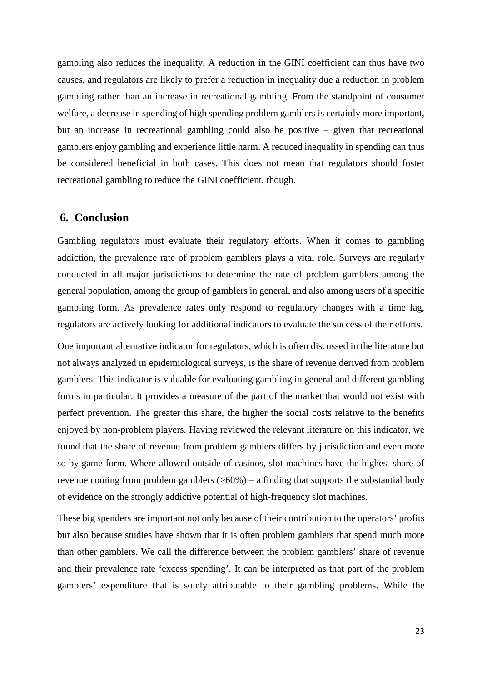gambling also reduces the inequality. A reduction in the GINI coefficient can thus have two causes, and regulators are likely to prefer a reduction in inequality due a reduction in problem gambling rather than an increase in recreational gambling. From the standpoint of consumer welfare, a decrease in spending of high spending problem gamblers is certainly more important, but an increase in recreational gambling could also be positive – given that recreational gamblers enjoy gambling and experience little harm. A reduced inequality in spending can thus be considered beneficial in both cases. This does not mean that regulators should foster recreational gambling to reduce the GINI coefficient, though.

### **6. Conclusion**

Gambling regulators must evaluate their regulatory efforts. When it comes to gambling addiction, the prevalence rate of problem gamblers plays a vital role. Surveys are regularly conducted in all major jurisdictions to determine the rate of problem gamblers among the general population, among the group of gamblers in general, and also among users of a specific gambling form. As prevalence rates only respond to regulatory changes with a time lag, regulators are actively looking for additional indicators to evaluate the success of their efforts.

One important alternative indicator for regulators, which is often discussed in the literature but not always analyzed in epidemiological surveys, is the share of revenue derived from problem gamblers. This indicator is valuable for evaluating gambling in general and different gambling forms in particular. It provides a measure of the part of the market that would not exist with perfect prevention. The greater this share, the higher the social costs relative to the benefits enjoyed by non-problem players. Having reviewed the relevant literature on this indicator, we found that the share of revenue from problem gamblers differs by jurisdiction and even more so by game form. Where allowed outside of casinos, slot machines have the highest share of revenue coming from problem gamblers  $($ >60%) – a finding that supports the substantial body of evidence on the strongly addictive potential of high-frequency slot machines.

These big spenders are important not only because of their contribution to the operators' profits but also because studies have shown that it is often problem gamblers that spend much more than other gamblers. We call the difference between the problem gamblers' share of revenue and their prevalence rate 'excess spending'. It can be interpreted as that part of the problem gamblers' expenditure that is solely attributable to their gambling problems. While the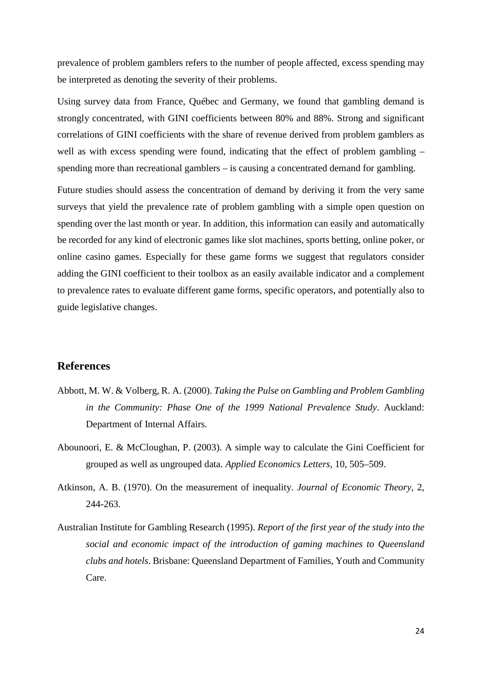prevalence of problem gamblers refers to the number of people affected, excess spending may be interpreted as denoting the severity of their problems.

Using survey data from France, Québec and Germany, we found that gambling demand is strongly concentrated, with GINI coefficients between 80% and 88%. Strong and significant correlations of GINI coefficients with the share of revenue derived from problem gamblers as well as with excess spending were found, indicating that the effect of problem gambling – spending more than recreational gamblers – is causing a concentrated demand for gambling.

Future studies should assess the concentration of demand by deriving it from the very same surveys that yield the prevalence rate of problem gambling with a simple open question on spending over the last month or year. In addition, this information can easily and automatically be recorded for any kind of electronic games like slot machines, sports betting, online poker, or online casino games. Especially for these game forms we suggest that regulators consider adding the GINI coefficient to their toolbox as an easily available indicator and a complement to prevalence rates to evaluate different game forms, specific operators, and potentially also to guide legislative changes.

#### **References**

- Abbott, M. W. & Volberg, R. A. (2000). *Taking the Pulse on Gambling and Problem Gambling in the Community: Phase One of the 1999 National Prevalence Study*. Auckland: Department of Internal Affairs.
- Abounoori, E. & McCloughan, P. (2003). A simple way to calculate the Gini Coefficient for grouped as well as ungrouped data. *Applied Economics Letters*, 10, 505–509.
- Atkinson, A. B. (1970). On the measurement of inequality. *Journal of Economic Theory*, 2, 244-263.
- Australian Institute for Gambling Research (1995). *Report of the first year of the study into the social and economic impact of the introduction of gaming machines to Queensland clubs and hotels*. Brisbane: Queensland Department of Families, Youth and Community Care.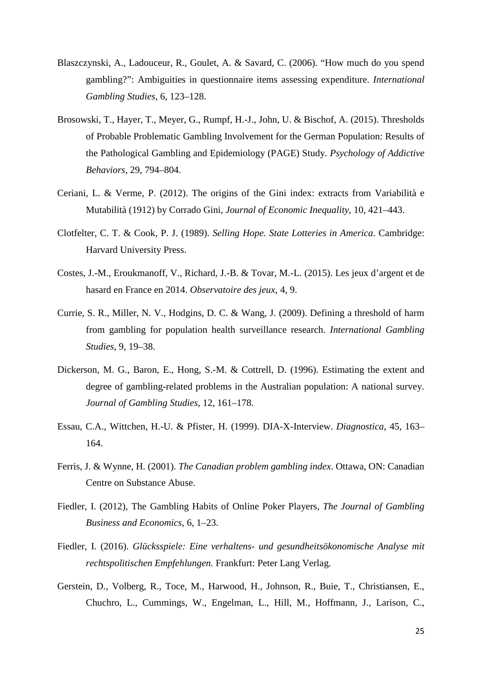- Blaszczynski, A., Ladouceur, R., Goulet, A. & Savard, C. (2006). "How much do you spend gambling?": Ambiguities in questionnaire items assessing expenditure. *International Gambling Studies*, 6, 123–128.
- Brosowski, T., Hayer, T., Meyer, G., Rumpf, H.-J., John, U. & Bischof, A. (2015). Thresholds of Probable Problematic Gambling Involvement for the German Population: Results of the Pathological Gambling and Epidemiology (PAGE) Study. *Psychology of Addictive Behaviors*, 29, 794–804.
- Ceriani, L. & Verme, P. (2012). The origins of the Gini index: extracts from Variabilità e Mutabilità (1912) by Corrado Gini, *Journal of Economic Inequality*, 10, 421–443.
- Clotfelter, C. T. & Cook, P. J. (1989). *Selling Hope. State Lotteries in America*. Cambridge: Harvard University Press.
- Costes, J.-M., Eroukmanoff, V., Richard, J.-B. & Tovar, M.-L. (2015). Les jeux d'argent et de hasard en France en 2014. *Observatoire des jeux*, 4, 9.
- Currie, S. R., Miller, N. V., Hodgins, D. C. & Wang, J. (2009). Defining a threshold of harm from gambling for population health surveillance research. *International Gambling Studies*, 9, 19–38.
- Dickerson, M. G., Baron, E., Hong, S.-M. & Cottrell, D. (1996). Estimating the extent and degree of gambling-related problems in the Australian population: A national survey. *Journal of Gambling Studies*, 12, 161–178.
- Essau, C.A., Wittchen, H.-U. & Pfister, H. (1999). DIA-X-Interview. *Diagnostica*, 45, 163– 164.
- Ferris, J. & Wynne, H. (2001). *The Canadian problem gambling index*. Ottawa, ON: Canadian Centre on Substance Abuse.
- Fiedler, I. (2012), The Gambling Habits of Online Poker Players, *The Journal of Gambling Business and Economics*, 6, 1–23.
- Fiedler, I. (2016). *Glücksspiele: Eine verhaltens- und gesundheitsökonomische Analyse mit rechtspolitischen Empfehlungen.* Frankfurt: Peter Lang Verlag.
- Gerstein, D., Volberg, R., Toce, M., Harwood, H., Johnson, R., Buie, T., Christiansen, E., Chuchro, L., Cummings, W., Engelman, L., Hill, M., Hoffmann, J., Larison, C.,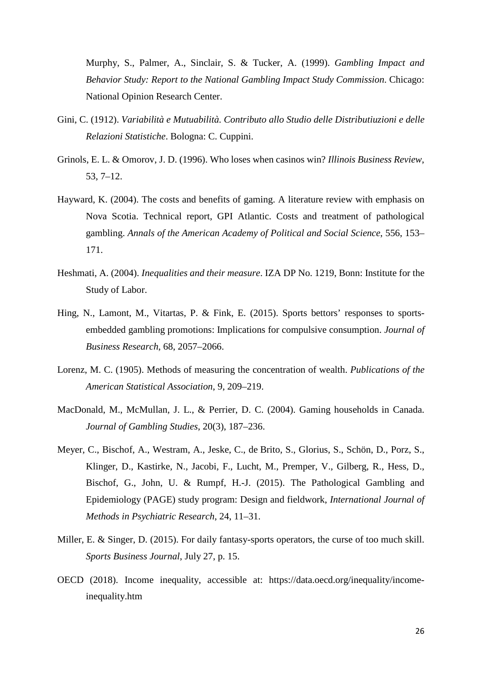Murphy, S., Palmer, A., Sinclair, S. & Tucker, A. (1999). *Gambling Impact and Behavior Study: Report to the National Gambling Impact Study Commission*. Chicago: National Opinion Research Center.

- Gini, C. (1912). *Variabilità e Mutuabilità. Contributo allo Studio delle Distributiuzioni e delle Relazioni Statistiche*. Bologna: C. Cuppini.
- Grinols, E. L. & Omorov, J. D. (1996). Who loses when casinos win? *Illinois Business Review*, 53, 7–12.
- Hayward, K. (2004). The costs and benefits of gaming. A literature review with emphasis on Nova Scotia. Technical report, GPI Atlantic. Costs and treatment of pathological gambling. *Annals of the American Academy of Political and Social Science*, 556, 153– 171.
- Heshmati, A. (2004). *Inequalities and their measure*. IZA DP No. 1219, Bonn: Institute for the Study of Labor.
- Hing, N., Lamont, M., Vitartas, P. & Fink, E. (2015). Sports bettors' responses to sportsembedded gambling promotions: Implications for compulsive consumption. *Journal of Business Research*, 68, 2057–2066.
- Lorenz, M. C. (1905). Methods of measuring the concentration of wealth. *Publications of the American Statistical Association*, 9, 209–219.
- MacDonald, M., McMullan, J. L., & Perrier, D. C. (2004). Gaming households in Canada. *Journal of Gambling Studies*, 20(3), 187–236.
- Meyer, C., Bischof, A., Westram, A., Jeske, C., de Brito, S., Glorius, S., Schön, D., Porz, S., Klinger, D., Kastirke, N., Jacobi, F., Lucht, M., Premper, V., Gilberg, R., Hess, D., Bischof, G., John, U. & Rumpf, H.-J. (2015). The Pathological Gambling and Epidemiology (PAGE) study program: Design and fieldwork, *International Journal of Methods in Psychiatric Research*, 24, 11–31.
- Miller, E. & Singer, D. (2015). For daily fantasy-sports operators, the curse of too much skill. *Sports Business Journal*, July 27, p. 15.
- OECD (2018). Income inequality, accessible at: https://data.oecd.org/inequality/incomeinequality.htm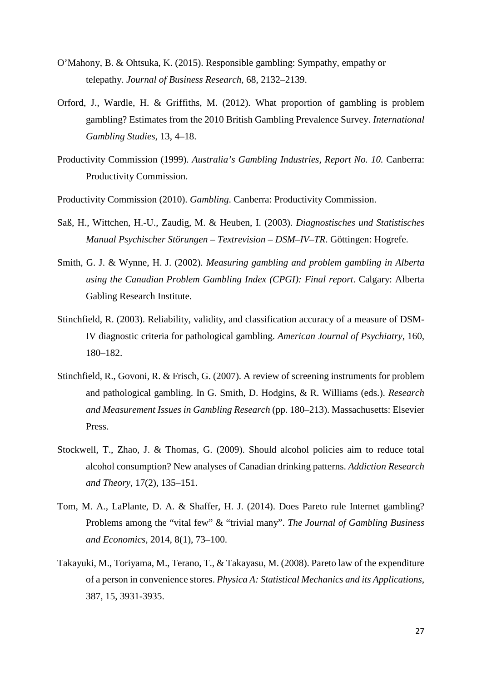- O'Mahony, B. & Ohtsuka, K. (2015). Responsible gambling: Sympathy, empathy or telepathy. *Journal of Business Research,* 68, 2132–2139.
- Orford, J., Wardle, H. & Griffiths, M. (2012). What proportion of gambling is problem gambling? Estimates from the 2010 British Gambling Prevalence Survey. *International Gambling Studies*, 13, 4–18.
- Productivity Commission (1999). *Australia's Gambling Industries, Report No. 10.* Canberra: Productivity Commission.
- Productivity Commission (2010). *Gambling*. Canberra: Productivity Commission.
- Saß, H., Wittchen, H.-U., Zaudig, M. & Heuben, I. (2003). *Diagnostisches und Statistisches Manual Psychischer Störungen – Textrevision – DSM–IV–TR*. Göttingen: Hogrefe.
- Smith, G. J. & Wynne, H. J. (2002). *Measuring gambling and problem gambling in Alberta using the Canadian Problem Gambling Index (CPGI): Final report*. Calgary: Alberta Gabling Research Institute.
- Stinchfield, R. (2003). Reliability, validity, and classification accuracy of a measure of DSM-IV diagnostic criteria for pathological gambling. *American Journal of Psychiatry*, 160, 180–182.
- Stinchfield, R., Govoni, R. & Frisch, G. (2007). A review of screening instruments for problem and pathological gambling. In G. Smith, D. Hodgins, & R. Williams (eds.). *Research and Measurement Issues in Gambling Research* (pp. 180–213). Massachusetts: Elsevier Press.
- Stockwell, T., Zhao, J. & Thomas, G. (2009). Should alcohol policies aim to reduce total alcohol consumption? New analyses of Canadian drinking patterns. *Addiction Research and Theory*, 17(2), 135–151.
- Tom, M. A., LaPlante, D. A. & Shaffer, H. J. (2014). Does Pareto rule Internet gambling? Problems among the "vital few" & "trivial many". *The Journal of Gambling Business and Economics*, 2014, 8(1), 73–100.
- Takayuki, M., Toriyama, M., Terano, T., & Takayasu, M. (2008). Pareto law of the expenditure of a person in convenience stores. *Physica A: Statistical Mechanics and its Applications*, 387, 15, 3931-3935.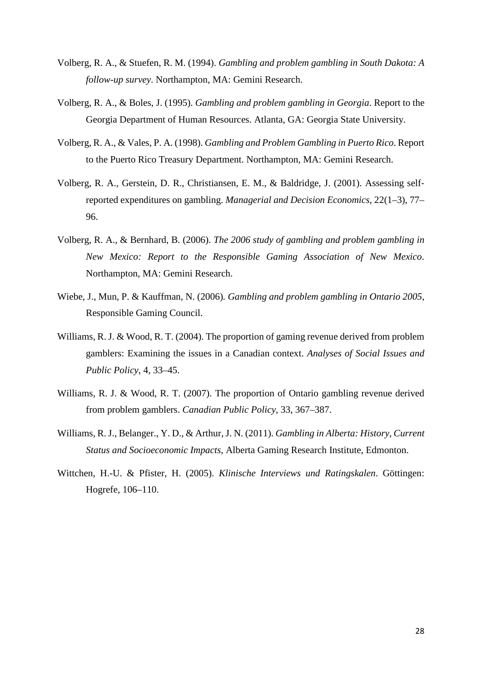- Volberg, R. A., & Stuefen, R. M. (1994). *Gambling and problem gambling in South Dakota: A follow-up survey*. Northampton, MA: Gemini Research.
- Volberg, R. A., & Boles, J. (1995). *Gambling and problem gambling in Georgia*. Report to the Georgia Department of Human Resources. Atlanta, GA: Georgia State University.
- Volberg, R. A., & Vales, P. A. (1998). *Gambling and Problem Gambling in Puerto Rico*. Report to the Puerto Rico Treasury Department. Northampton, MA: Gemini Research.
- Volberg, R. A., Gerstein, D. R., Christiansen, E. M., & Baldridge, J. (2001). Assessing self‐ reported expenditures on gambling. *Managerial and Decision Economics*, 22(1–3), 77– 96.
- Volberg, R. A., & Bernhard, B. (2006). *The 2006 study of gambling and problem gambling in New Mexico: Report to the Responsible Gaming Association of New Mexico*. Northampton, MA: Gemini Research.
- Wiebe, J., Mun, P. & Kauffman, N. (2006)*. Gambling and problem gambling in Ontario 2005*, Responsible Gaming Council.
- Williams, R. J. & Wood, R. T. (2004). The proportion of gaming revenue derived from problem gamblers: Examining the issues in a Canadian context. *Analyses of Social Issues and Public Policy*, 4, 33–45.
- Williams, R. J. & Wood, R. T. (2007). The proportion of Ontario gambling revenue derived from problem gamblers. *Canadian Public Policy*, 33, 367–387.
- Williams, R. J., Belanger., Y. D., & Arthur, J. N. (2011). *Gambling in Alberta: History, Current Status and Socioeconomic Impacts*, Alberta Gaming Research Institute, Edmonton.
- Wittchen, H.-U. & Pfister, H. (2005). *Klinische Interviews und Ratingskalen*. Göttingen: Hogrefe, 106–110.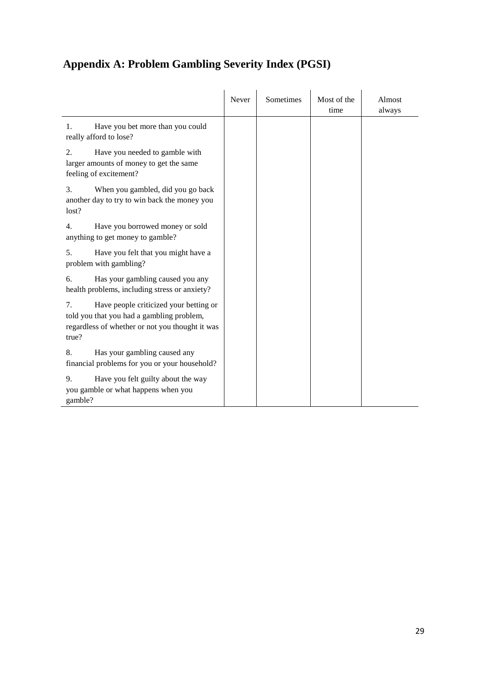# **Appendix A: Problem Gambling Severity Index (PGSI)**

|                                                                                                                                                       | Never | Sometimes | Most of the<br>time | Almost<br>always |
|-------------------------------------------------------------------------------------------------------------------------------------------------------|-------|-----------|---------------------|------------------|
| Have you bet more than you could<br>1.<br>really afford to lose?                                                                                      |       |           |                     |                  |
| Have you needed to gamble with<br>2.<br>larger amounts of money to get the same<br>feeling of excitement?                                             |       |           |                     |                  |
| 3.<br>When you gambled, did you go back<br>another day to try to win back the money you<br>lost?                                                      |       |           |                     |                  |
| Have you borrowed money or sold<br>4.<br>anything to get money to gamble?                                                                             |       |           |                     |                  |
| Have you felt that you might have a<br>5.<br>problem with gambling?                                                                                   |       |           |                     |                  |
| Has your gambling caused you any<br>6.<br>health problems, including stress or anxiety?                                                               |       |           |                     |                  |
| Have people criticized your betting or<br>7.<br>told you that you had a gambling problem,<br>regardless of whether or not you thought it was<br>true? |       |           |                     |                  |
| 8.<br>Has your gambling caused any<br>financial problems for you or your household?                                                                   |       |           |                     |                  |
| 9.<br>Have you felt guilty about the way<br>you gamble or what happens when you<br>gamble?                                                            |       |           |                     |                  |